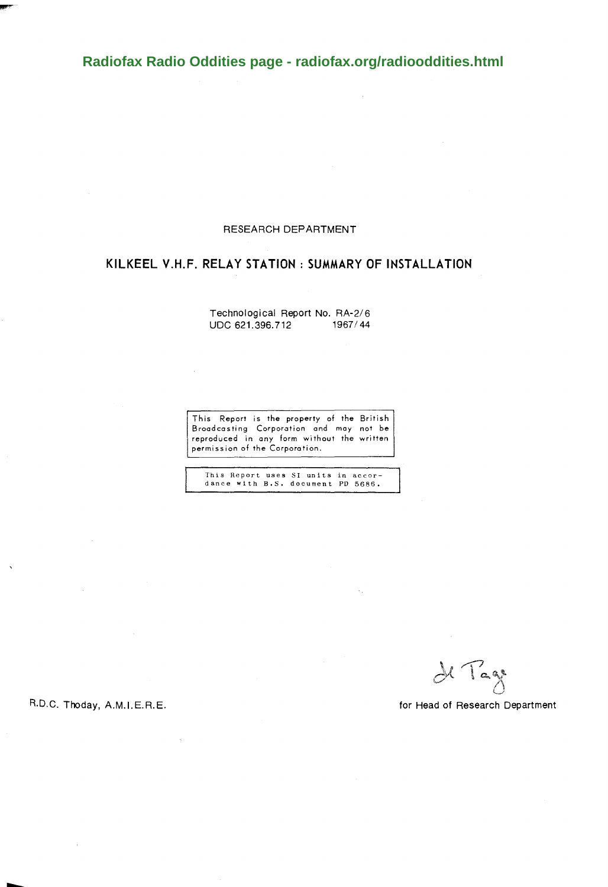**[Radiofax Radio Oddities page - radiofax.org/radiooddities.html](http://radiofax.org/radiooddities.html)**

#### RESEARCH DEPARTMENT

### KILKEEL V.H.F. RELAY STATION : SUMMARY OF INSTALLATION

Technological Report No. *RA-2/6*  UDC 621.396.712 1967/44

J.

This Report is the property of the British Broadcasting Corporotion and may not be reproduced in any form without the written permission of the Corporation.

This Report uses SI units in accor-dance with B.S. document PD 5686.

de Tage

R.D.C. Thoday, A.M.I.E.R.E.

 $\overline{\phantom{a}}$ 

for Head of Research Department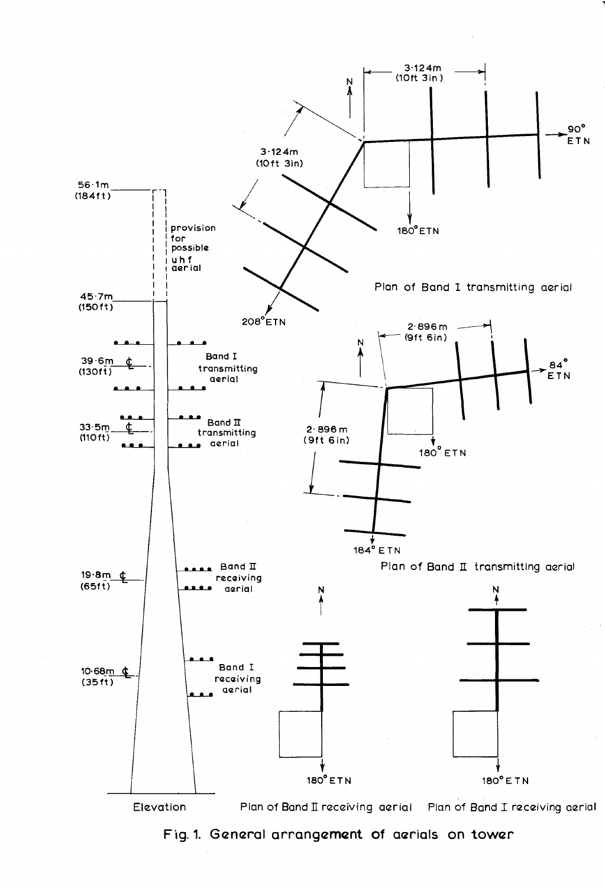

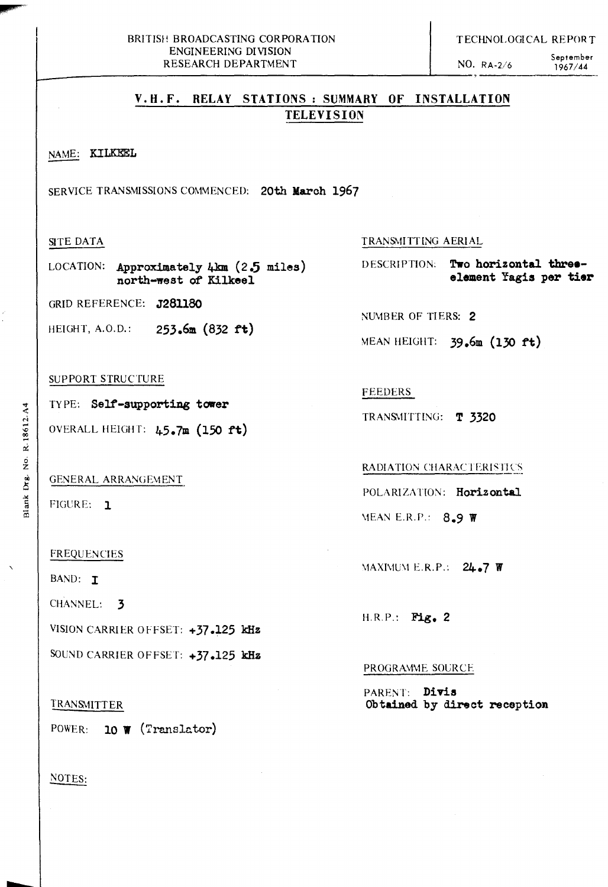NO. RA-2/6 September 1967/44

# **V.U.F. RELAY STATIONS: SUMMARY OF INSTALLATION TELEVISION**

# NAME: **KILKEEL** -

SERVICE TRANSMISSIONS COMMENCED: **20th March 1967** 

### SITE DATA

LOCATION: **Approximately 4km (2.5 miles) north-west of Kilkeel** 

GRID REFERENCE: **J28llBO** 

HEIGHT, A.O.D.: **253.6m (832 ft)** 

#### SUPPORT STRUCTURE

TYPE: Self-supporting tower <sup>~</sup>OVERALL HEIGHT: **45.7m (150 ft)** ....

GENERAL ARRANGEMENT

FIGURE: 1

#### FREQUENCIES

BAND: T

CHANNEL: 3

VISION CARRIER OFFSET: **+37.125 kHz** 

SOUND CARRIER OFFSET: +37.125 **kHz** 

### TRANSMITTER

POWER: **10 W** (Translator)

### NOTES:

TRANSMITTING AERIAL

DESCRIPTION: **Two horizontal tbreeelement Yagis per tier** 

NUMBER OF TIERS: 2

MEAN HEIGHT: **39.6m (130 ft)** 

FEEDERS

TRANS\lITTING: **T 3320** 

RADIATION CHARACTERISTICS

POLARIZATION: **Horizontal** 

\lEAN E.R.P.: **8.9 W** 

**MAXIMUM E.R.P.: 24.7 W** 

H.R.P.: **Fig. 2** 

#### PROGRAMME SOURCE

PARENT: **Divis Obtained by direot reoeption**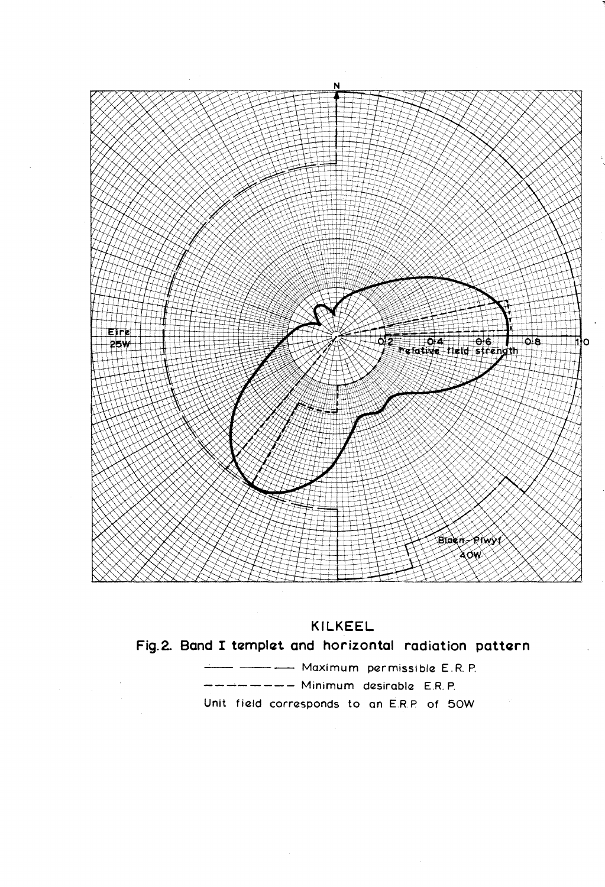



Fig.2. Band I templet and horizontal radiation pattern

- ------------- Maximum permissible E.R.P. ------ Minimum desirable E.R.P. Unit field corresponds to an E.R.P. of 50W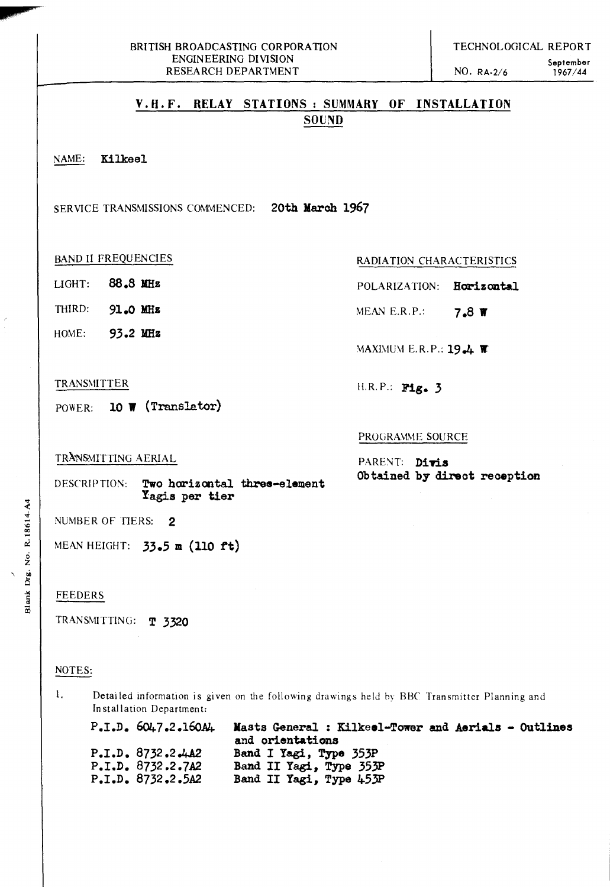## **V.H.F. RELAY STATIONS: SUMMARY OF INSTALLATION SOUND**

~ **Kilkeel** 

SERVICE TRANSMISSIONS COMMENCED: 20th March 1967

### BAND II FREQUENCIES RADIATION CHARACTERISTICS

- LIGHT: **88.8 Wz**
- THIRD: **91.0 Jmz**
- HOME: **93.2 Wz**

#### TRANSMITTER

POWER: **10" (Translator)** 

#### PROGRAMME SOURCE

II.R.P.: **Fig. 3** 

TRANSMITTING AERIAL

PARENT: Divis **Obtained by direct reception** 

POLARIZATION: **Horizontal** 

**MEAN E.R.P.: 7.8 W** 

**MAXIMUM E.R. P.: 19.4 <b>W** 

DESCRIPTION: **Two horizontal three-element Yagis per tier** 

NUMBER OF TIERS: 2

MEAN HEIGHT: **33.5 m (110 ft)** 

#### FEEDERS

TRANSMITTING: **T 3320** 

#### NOTES:

1. Detailed information is given on the following drawings held hy BHC Transmitter Planning and In stallation Departmen t:

P.I.D.  $6047.2.160A4$ P.I.D. 8732.2.4A2 **P.1.D. 8732.2.7A2 P.1.D. 8732.2.5A2 Masts General : Kilkeel-Tower and Aerials - Outlines and orientations Band I Yagi, Type 353P Band 11 Yegi, Type 353P**  Band II Yagi, Type 453P